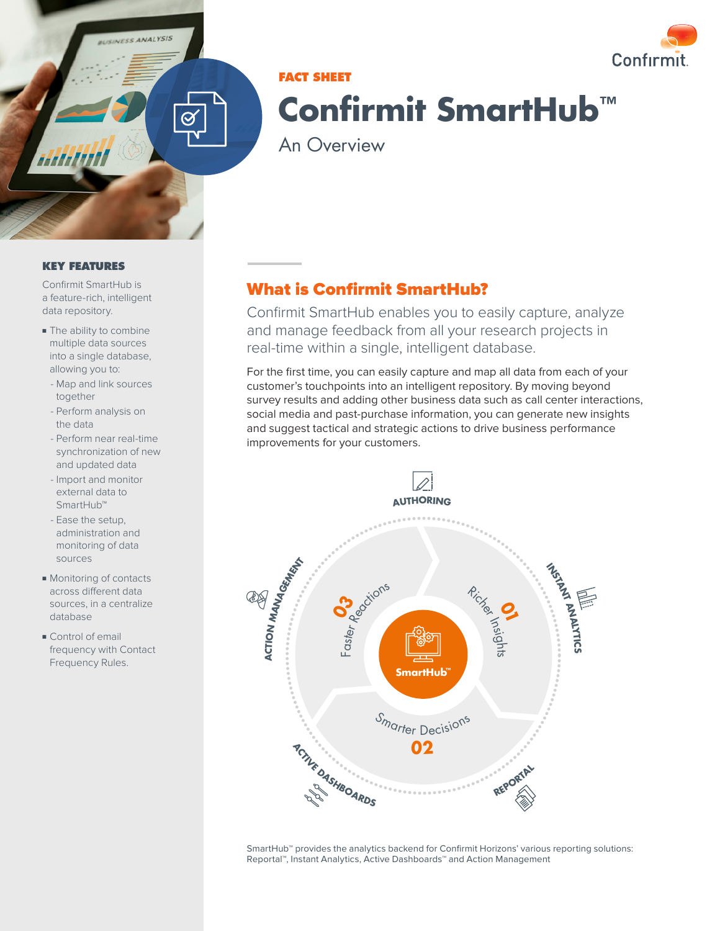

# Confirmit

# **FACT SHEET Confirmit SmartHub™**

An Overview

#### **KEY FEATURES**

Confirmit SmartHub is a feature-rich, intelligent data repository.

- The ability to combine multiple data sources into a single database, allowing you to:
	- Map and link sources together
	- Perform analysis on the data
	- Perform near real-time synchronization of new and updated data
	- Import and monitor external data to SmartHub™
	- Ease the setup, administration and monitoring of data sources
- Monitoring of contacts across different data sources, in a centralize database
- Control of email frequency with Contact Frequency Rules.

# What is Confirmit SmartHub?

Confirmit SmartHub enables you to easily capture, analyze and manage feedback from all your research projects in real-time within a single, intelligent database.

For the first time, you can easily capture and map all data from each of your customer's touchpoints into an intelligent repository. By moving beyond survey results and adding other business data such as call center interactions, social media and past-purchase information, you can generate new insights and suggest tactical and strategic actions to drive business performance improvements for your customers.



SmartHub™ provides the analytics backend for Confirmit Horizons' various reporting solutions: Reportal™, Instant Analytics, Active Dashboards™ and Action Management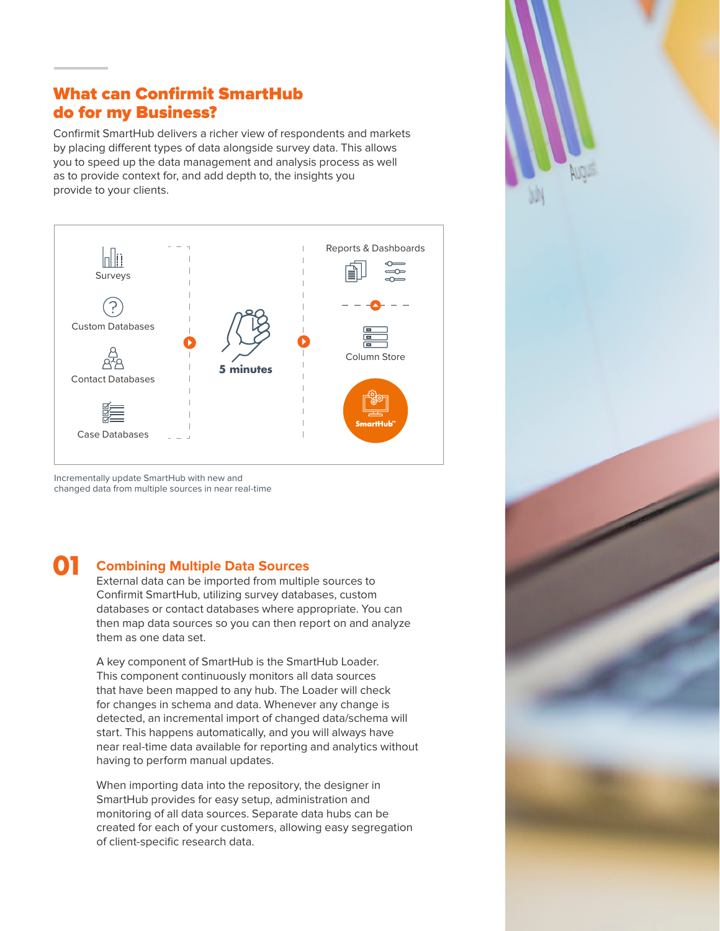# What can Confirmit SmartHub do for my Business?

Confirmit SmartHub delivers a richer view of respondents and markets by placing different types of data alongside survey data. This allows you to speed up the data management and analysis process as well as to provide context for, and add depth to, the insights you provide to your clients.



Incrementally update SmartHub with new and changed data from multiple sources in near real-time

# **01**

## **Combining Multiple Data Sources**

External data can be imported from multiple sources to Confirmit SmartHub, utilizing survey databases, custom databases or contact databases where appropriate. You can then map data sources so you can then report on and analyze them as one data set.

A key component of SmartHub is the SmartHub Loader. This component continuously monitors all data sources that have been mapped to any hub. The Loader will check for changes in schema and data. Whenever any change is detected, an incremental import of changed data/schema will start. This happens automatically, and you will always have near real-time data available for reporting and analytics without having to perform manual updates.

When importing data into the repository, the designer in SmartHub provides for easy setup, administration and monitoring of all data sources. Separate data hubs can be created for each of your customers, allowing easy segregation of client-specific research data.